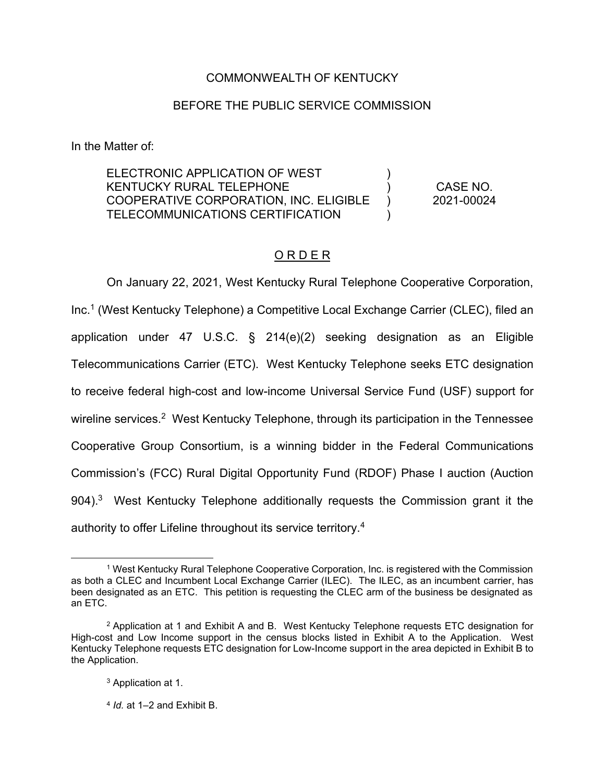## COMMONWEALTH OF KENTUCKY

#### BEFORE THE PUBLIC SERVICE COMMISSION

In the Matter of:

ELECTRONIC APPLICATION OF WEST KENTUCKY RURAL TELEPHONE COOPERATIVE CORPORATION, INC. ELIGIBLE TELECOMMUNICATIONS CERTIFICATION ) ) ) ) CASE NO. 2021-00024

# O R D E R

On January 22, 2021, West Kentucky Rural Telephone Cooperative Corporation, Inc.1 (West Kentucky Telephone) a Competitive Local Exchange Carrier (CLEC), filed an application under 47 U.S.C. § 214(e)(2) seeking designation as an Eligible Telecommunications Carrier (ETC). West Kentucky Telephone seeks ETC designation to receive federal high-cost and low-income Universal Service Fund (USF) support for wireline services.<sup>2</sup> West Kentucky Telephone, through its participation in the Tennessee Cooperative Group Consortium, is a winning bidder in the Federal Communications Commission's (FCC) Rural Digital Opportunity Fund (RDOF) Phase I auction (Auction 904).<sup>3</sup> West Kentucky Telephone additionally requests the Commission grant it the authority to offer Lifeline throughout its service territory.4

<sup>1</sup> West Kentucky Rural Telephone Cooperative Corporation, Inc. is registered with the Commission as both a CLEC and Incumbent Local Exchange Carrier (ILEC). The ILEC, as an incumbent carrier, has been designated as an ETC. This petition is requesting the CLEC arm of the business be designated as an ETC.

<sup>2</sup> Application at 1 and Exhibit A and B. West Kentucky Telephone requests ETC designation for High-cost and Low Income support in the census blocks listed in Exhibit A to the Application. West Kentucky Telephone requests ETC designation for Low-Income support in the area depicted in Exhibit B to the Application.

<sup>3</sup> Application at 1.

<sup>4</sup> *Id.* at 1–2 and Exhibit B.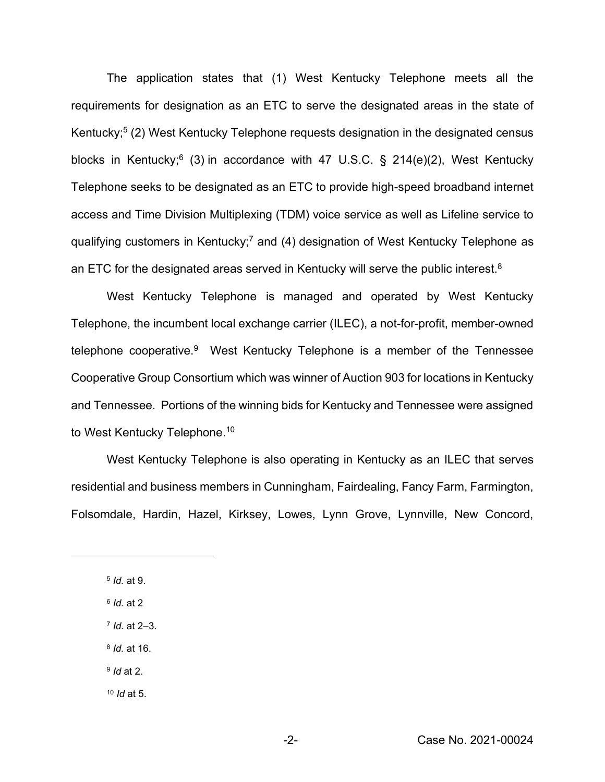The application states that (1) West Kentucky Telephone meets all the requirements for designation as an ETC to serve the designated areas in the state of Kentucky;<sup>5</sup> (2) West Kentucky Telephone requests designation in the designated census blocks in Kentucky; <sup>6</sup> (3) in accordance with 47 U.S.C. § 214(e)(2), West Kentucky Telephone seeks to be designated as an ETC to provide high-speed broadband internet access and Time Division Multiplexing (TDM) voice service as well as Lifeline service to qualifying customers in Kentucky;<sup>7</sup> and (4) designation of West Kentucky Telephone as an ETC for the designated areas served in Kentucky will serve the public interest.<sup>8</sup>

West Kentucky Telephone is managed and operated by West Kentucky Telephone, the incumbent local exchange carrier (ILEC), a not-for-profit, member-owned telephone cooperative.<sup>9</sup> West Kentucky Telephone is a member of the Tennessee Cooperative Group Consortium which was winner of Auction 903 for locations in Kentucky and Tennessee. Portions of the winning bids for Kentucky and Tennessee were assigned to West Kentucky Telephone.<sup>10</sup>

West Kentucky Telephone is also operating in Kentucky as an ILEC that serves residential and business members in Cunningham, Fairdealing, Fancy Farm, Farmington, Folsomdale, Hardin, Hazel, Kirksey, Lowes, Lynn Grove, Lynnville, New Concord,

<sup>6</sup> *Id.* at 2

<sup>7</sup> *Id.* at 2–3.

<sup>8</sup> *Id.* at 16.

<sup>9</sup> *Id* at 2.

<sup>10</sup> *Id* at 5.

<sup>5</sup> *Id.* at 9.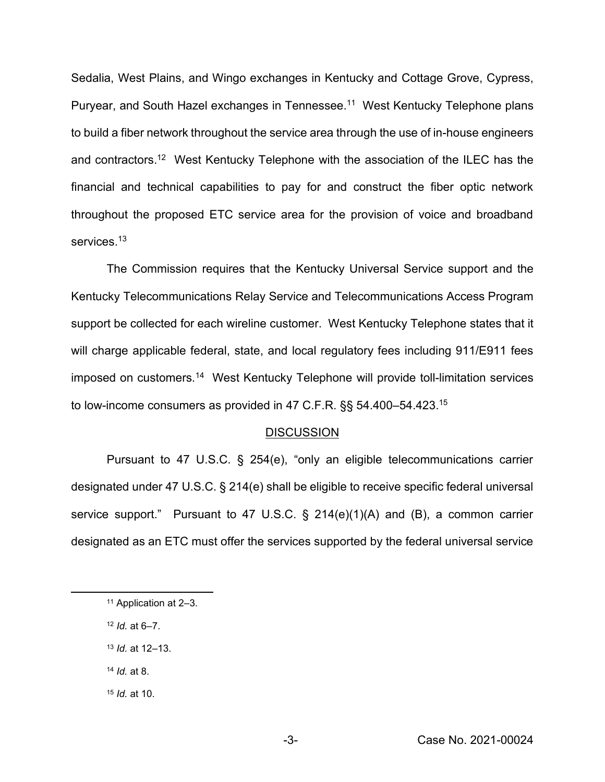Sedalia, West Plains, and Wingo exchanges in Kentucky and Cottage Grove, Cypress, Puryear, and South Hazel exchanges in Tennessee.<sup>11</sup> West Kentucky Telephone plans to build a fiber network throughout the service area through the use of in-house engineers and contractors. 12 West Kentucky Telephone with the association of the ILEC has the financial and technical capabilities to pay for and construct the fiber optic network throughout the proposed ETC service area for the provision of voice and broadband services.<sup>13</sup>

The Commission requires that the Kentucky Universal Service support and the Kentucky Telecommunications Relay Service and Telecommunications Access Program support be collected for each wireline customer. West Kentucky Telephone states that it will charge applicable federal, state, and local regulatory fees including 911/E911 fees imposed on customers.14 West Kentucky Telephone will provide toll-limitation services to low-income consumers as provided in 47 C.F.R. §§ 54.400–54.423.<sup>15</sup>

#### DISCUSSION

Pursuant to 47 U.S.C. § 254(e), "only an eligible telecommunications carrier designated under 47 U.S.C. § 214(e) shall be eligible to receive specific federal universal service support." Pursuant to 47 U.S.C. § 214(e)(1)(A) and (B), a common carrier designated as an ETC must offer the services supported by the federal universal service

- <sup>12</sup> *Id.* at 6–7.
- <sup>13</sup> *Id.* at 12–13.
- <sup>14</sup> *Id.* at 8.
- <sup>15</sup> *Id.* at 10.

<sup>11</sup> Application at 2–3.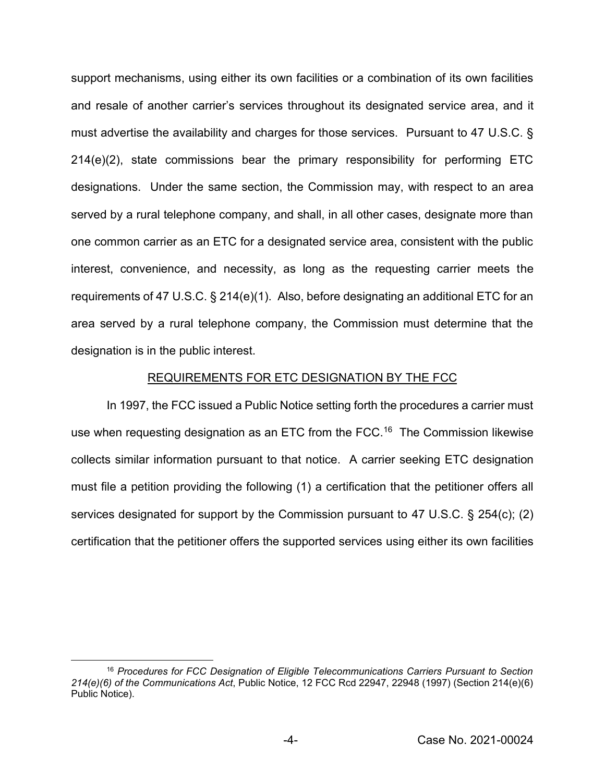support mechanisms, using either its own facilities or a combination of its own facilities and resale of another carrier's services throughout its designated service area, and it must advertise the availability and charges for those services. Pursuant to 47 U.S.C. § 214(e)(2), state commissions bear the primary responsibility for performing ETC designations. Under the same section, the Commission may, with respect to an area served by a rural telephone company, and shall, in all other cases, designate more than one common carrier as an ETC for a designated service area, consistent with the public interest, convenience, and necessity, as long as the requesting carrier meets the requirements of 47 U.S.C. § 214(e)(1). Also, before designating an additional ETC for an area served by a rural telephone company, the Commission must determine that the designation is in the public interest.

#### REQUIREMENTS FOR ETC DESIGNATION BY THE FCC

In 1997, the FCC issued a Public Notice setting forth the procedures a carrier must use when requesting designation as an ETC from the FCC.<sup>16</sup> The Commission likewise collects similar information pursuant to that notice. A carrier seeking ETC designation must file a petition providing the following (1) a certification that the petitioner offers all services designated for support by the Commission pursuant to 47 U.S.C. § 254(c); (2) certification that the petitioner offers the supported services using either its own facilities

<sup>16</sup> *Procedures for FCC Designation of Eligible Telecommunications Carriers Pursuant to Section 214(e)(6) of the Communications Act*, Public Notice, 12 FCC Rcd 22947, 22948 (1997) (Section 214(e)(6) Public Notice).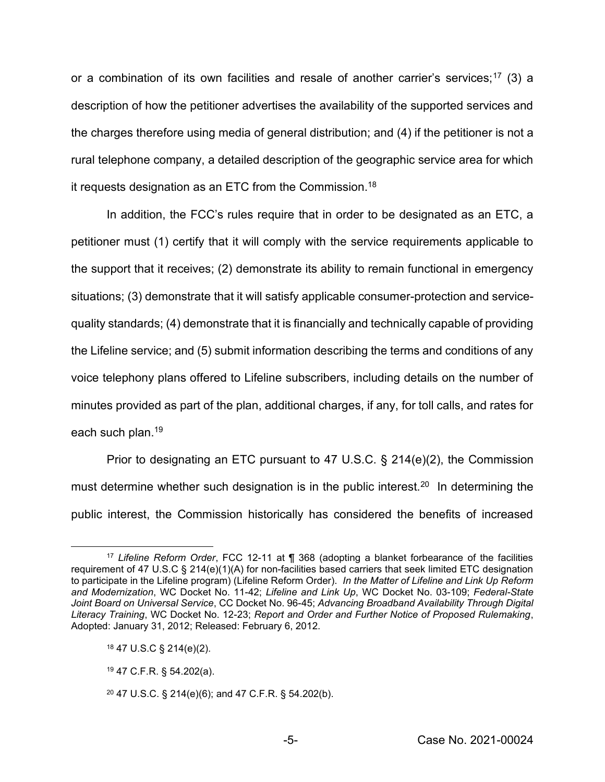or a combination of its own facilities and resale of another carrier's services;<sup>17</sup> (3) a description of how the petitioner advertises the availability of the supported services and the charges therefore using media of general distribution; and (4) if the petitioner is not a rural telephone company, a detailed description of the geographic service area for which it requests designation as an ETC from the Commission.<sup>18</sup>

In addition, the FCC's rules require that in order to be designated as an ETC, a petitioner must (1) certify that it will comply with the service requirements applicable to the support that it receives; (2) demonstrate its ability to remain functional in emergency situations; (3) demonstrate that it will satisfy applicable consumer-protection and servicequality standards; (4) demonstrate that it is financially and technically capable of providing the Lifeline service; and (5) submit information describing the terms and conditions of any voice telephony plans offered to Lifeline subscribers, including details on the number of minutes provided as part of the plan, additional charges, if any, for toll calls, and rates for each such plan.19

Prior to designating an ETC pursuant to 47 U.S.C. § 214(e)(2), the Commission must determine whether such designation is in the public interest.<sup>20</sup> In determining the public interest, the Commission historically has considered the benefits of increased

<sup>20</sup> 47 U.S.C. § 214(e)(6); and 47 C.F.R. § 54.202(b).

<sup>17</sup> *Lifeline Reform Order*, FCC 12-11 at ¶ 368 (adopting a blanket forbearance of the facilities requirement of 47 U.S.C § 214(e)(1)(A) for non-facilities based carriers that seek limited ETC designation to participate in the Lifeline program) (Lifeline Reform Order). *In the Matter of Lifeline and Link Up Reform and Modernization*, WC Docket No. 11-42; *Lifeline and Link Up*, WC Docket No. 03-109; *Federal-State Joint Board on Universal Service*, CC Docket No. 96-45; *Advancing Broadband Availability Through Digital Literacy Training*, WC Docket No. 12-23; *Report and Order and Further Notice of Proposed Rulemaking*, Adopted: January 31, 2012; Released: February 6, 2012.

<sup>18</sup> 47 U.S.C § 214(e)(2).

<sup>19</sup> 47 C.F.R. § 54.202(a).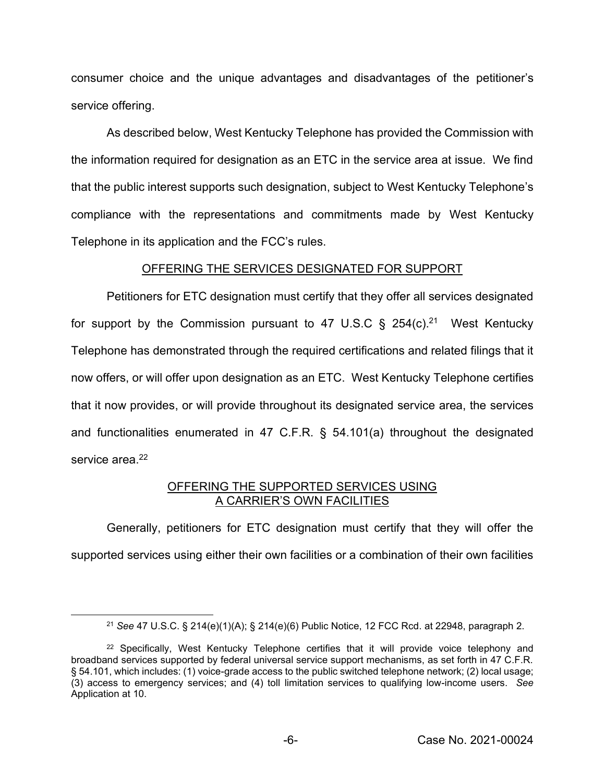consumer choice and the unique advantages and disadvantages of the petitioner's service offering.

As described below, West Kentucky Telephone has provided the Commission with the information required for designation as an ETC in the service area at issue. We find that the public interest supports such designation, subject to West Kentucky Telephone's compliance with the representations and commitments made by West Kentucky Telephone in its application and the FCC's rules.

## OFFERING THE SERVICES DESIGNATED FOR SUPPORT

Petitioners for ETC designation must certify that they offer all services designated for support by the Commission pursuant to 47 U.S.C  $\S$  254(c).<sup>21</sup> West Kentucky Telephone has demonstrated through the required certifications and related filings that it now offers, or will offer upon designation as an ETC. West Kentucky Telephone certifies that it now provides, or will provide throughout its designated service area, the services and functionalities enumerated in 47 C.F.R. § 54.101(a) throughout the designated service area<sup>22</sup>

# OFFERING THE SUPPORTED SERVICES USING A CARRIER'S OWN FACILITIES

Generally, petitioners for ETC designation must certify that they will offer the supported services using either their own facilities or a combination of their own facilities

<sup>21</sup> *See* 47 U.S.C. § 214(e)(1)(A); § 214(e)(6) Public Notice, 12 FCC Rcd. at 22948, paragraph 2.

<sup>&</sup>lt;sup>22</sup> Specifically, West Kentucky Telephone certifies that it will provide voice telephony and broadband services supported by federal universal service support mechanisms, as set forth in 47 C.F.R. § 54.101, which includes: (1) voice-grade access to the public switched telephone network; (2) local usage; (3) access to emergency services; and (4) toll limitation services to qualifying low-income users. *See* Application at 10.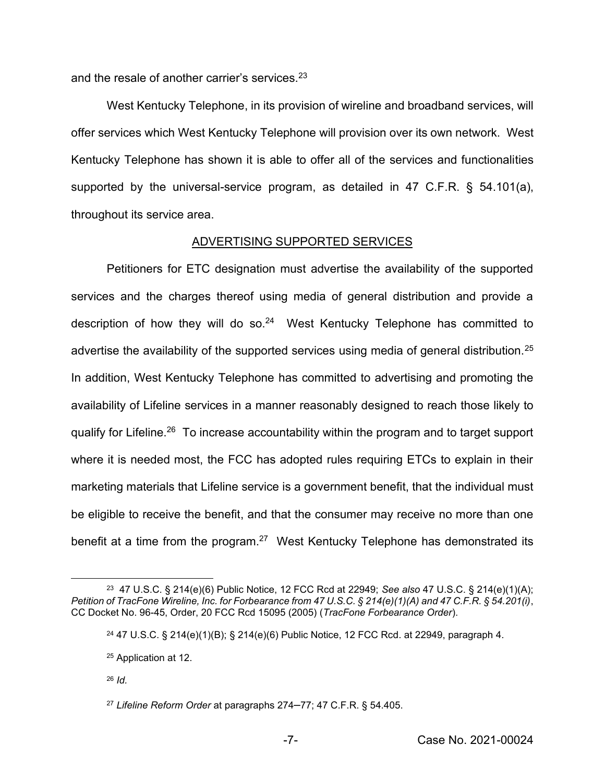and the resale of another carrier's services.<sup>23</sup>

West Kentucky Telephone, in its provision of wireline and broadband services, will offer services which West Kentucky Telephone will provision over its own network. West Kentucky Telephone has shown it is able to offer all of the services and functionalities supported by the universal-service program, as detailed in 47 C.F.R. § 54.101(a), throughout its service area.

#### ADVERTISING SUPPORTED SERVICES

Petitioners for ETC designation must advertise the availability of the supported services and the charges thereof using media of general distribution and provide a description of how they will do so. $24$  West Kentucky Telephone has committed to advertise the availability of the supported services using media of general distribution.<sup>25</sup> In addition, West Kentucky Telephone has committed to advertising and promoting the availability of Lifeline services in a manner reasonably designed to reach those likely to qualify for Lifeline.26 To increase accountability within the program and to target support where it is needed most, the FCC has adopted rules requiring ETCs to explain in their marketing materials that Lifeline service is a government benefit, that the individual must be eligible to receive the benefit, and that the consumer may receive no more than one benefit at a time from the program.<sup>27</sup> West Kentucky Telephone has demonstrated its

<sup>23</sup> 47 U.S.C. § 214(e)(6) Public Notice, 12 FCC Rcd at 22949; *See also* 47 U.S.C. § 214(e)(1)(A); *Petition of TracFone Wireline, Inc. for Forbearance from 47 U.S.C. § 214(e)(1)(A) and 47 C.F.R. § 54.201(i)*, CC Docket No. 96-45, Order, 20 FCC Rcd 15095 (2005) (*TracFone Forbearance Order*).

<sup>24</sup> 47 U.S.C. § 214(e)(1)(B); § 214(e)(6) Public Notice, 12 FCC Rcd. at 22949, paragraph 4.

<sup>25</sup> Application at 12.

<sup>26</sup> *Id.*

<sup>27</sup> *Lifeline Reform Order* at paragraphs 274–77; 47 C.F.R. § 54.405.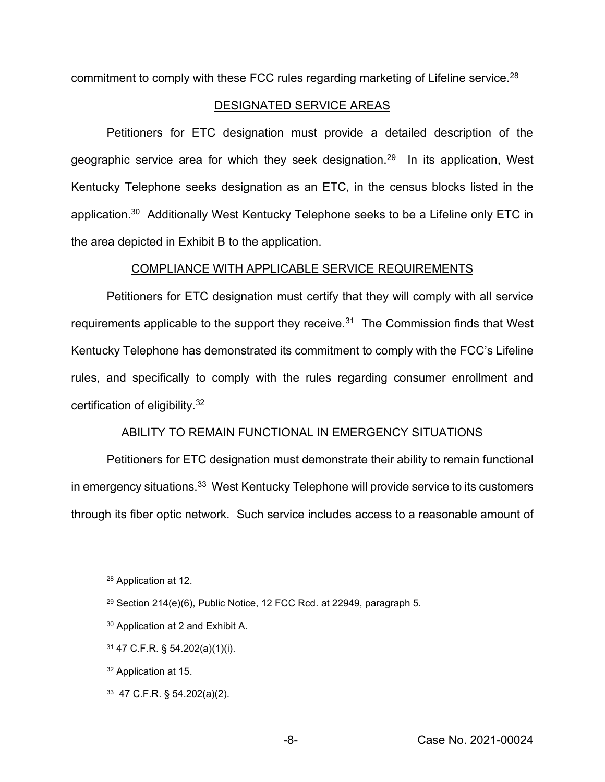commitment to comply with these FCC rules regarding marketing of Lifeline service.<sup>28</sup>

### DESIGNATED SERVICE AREAS

Petitioners for ETC designation must provide a detailed description of the geographic service area for which they seek designation.29 In its application, West Kentucky Telephone seeks designation as an ETC, in the census blocks listed in the application. <sup>30</sup> Additionally West Kentucky Telephone seeks to be a Lifeline only ETC in the area depicted in Exhibit B to the application.

#### COMPLIANCE WITH APPLICABLE SERVICE REQUIREMENTS

Petitioners for ETC designation must certify that they will comply with all service requirements applicable to the support they receive. $31$  The Commission finds that West Kentucky Telephone has demonstrated its commitment to comply with the FCC's Lifeline rules, and specifically to comply with the rules regarding consumer enrollment and certification of eligibility.32

#### ABILITY TO REMAIN FUNCTIONAL IN EMERGENCY SITUATIONS

Petitioners for ETC designation must demonstrate their ability to remain functional in emergency situations.33 West Kentucky Telephone will provide service to its customers through its fiber optic network. Such service includes access to a reasonable amount of

- <sup>30</sup> Application at 2 and Exhibit A.
- <sup>31</sup> 47 C.F.R. § 54.202(a)(1)(i).
- <sup>32</sup> Application at 15.
- <sup>33</sup> 47 C.F.R. § 54.202(a)(2).

<sup>28</sup> Application at 12.

<sup>29</sup> Section 214(e)(6), Public Notice, 12 FCC Rcd. at 22949, paragraph 5.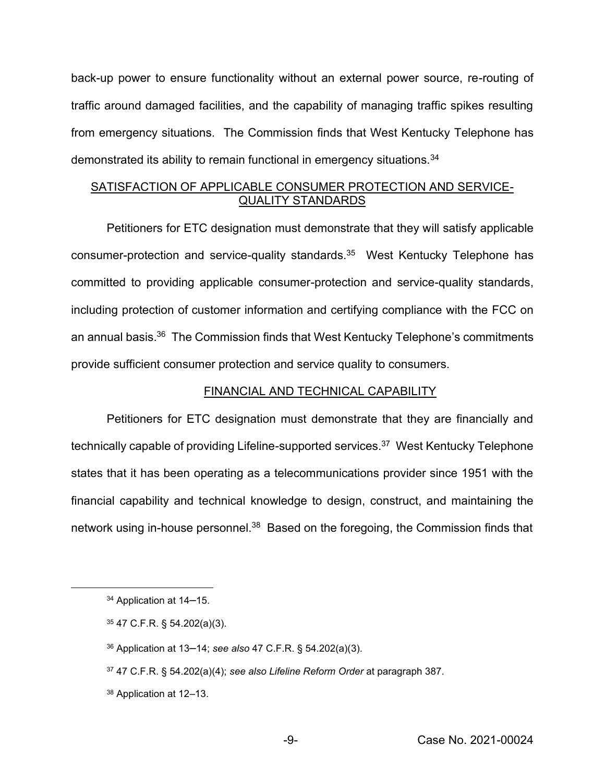back-up power to ensure functionality without an external power source, re-routing of traffic around damaged facilities, and the capability of managing traffic spikes resulting from emergency situations. The Commission finds that West Kentucky Telephone has demonstrated its ability to remain functional in emergency situations.<sup>34</sup>

# SATISFACTION OF APPLICABLE CONSUMER PROTECTION AND SERVICE-QUALITY STANDARDS

Petitioners for ETC designation must demonstrate that they will satisfy applicable consumer-protection and service-quality standards.35 West Kentucky Telephone has committed to providing applicable consumer-protection and service-quality standards, including protection of customer information and certifying compliance with the FCC on an annual basis.<sup>36</sup> The Commission finds that West Kentucky Telephone's commitments provide sufficient consumer protection and service quality to consumers.

### FINANCIAL AND TECHNICAL CAPABILITY

Petitioners for ETC designation must demonstrate that they are financially and technically capable of providing Lifeline-supported services.<sup>37</sup> West Kentucky Telephone states that it has been operating as a telecommunications provider since 1951 with the financial capability and technical knowledge to design, construct, and maintaining the network using in-house personnel.<sup>38</sup> Based on the foregoing, the Commission finds that

- <sup>36</sup> Application at 13–14; *see also* 47 C.F.R. § 54.202(a)(3).
- <sup>37</sup> 47 C.F.R. § 54.202(a)(4); *see also Lifeline Reform Order* at paragraph 387.
- <sup>38</sup> Application at 12–13.

<sup>34</sup> Application at 14–15.

<sup>35</sup> 47 C.F.R. § 54.202(a)(3).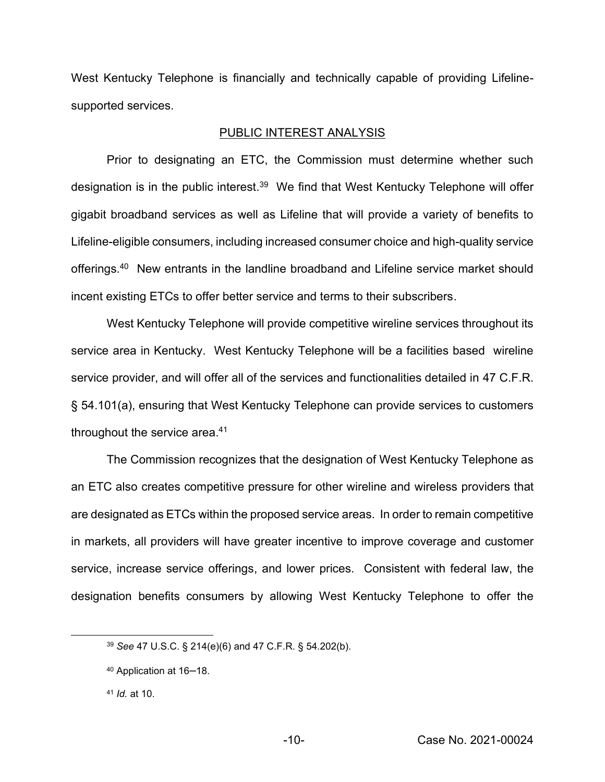West Kentucky Telephone is financially and technically capable of providing Lifelinesupported services.

#### PUBLIC INTEREST ANALYSIS

Prior to designating an ETC, the Commission must determine whether such designation is in the public interest.<sup>39</sup> We find that West Kentucky Telephone will offer gigabit broadband services as well as Lifeline that will provide a variety of benefits to Lifeline-eligible consumers, including increased consumer choice and high-quality service offerings. 40 New entrants in the landline broadband and Lifeline service market should incent existing ETCs to offer better service and terms to their subscribers.

West Kentucky Telephone will provide competitive wireline services throughout its service area in Kentucky. West Kentucky Telephone will be a facilities based wireline service provider, and will offer all of the services and functionalities detailed in 47 C.F.R. § 54.101(a), ensuring that West Kentucky Telephone can provide services to customers throughout the service area.41

The Commission recognizes that the designation of West Kentucky Telephone as an ETC also creates competitive pressure for other wireline and wireless providers that are designated as ETCs within the proposed service areas. In order to remain competitive in markets, all providers will have greater incentive to improve coverage and customer service, increase service offerings, and lower prices. Consistent with federal law, the designation benefits consumers by allowing West Kentucky Telephone to offer the

<sup>39</sup> *See* 47 U.S.C. § 214(e)(6) and 47 C.F.R. § 54.202(b).

<sup>40</sup> Application at 16–18.

<sup>41</sup> *Id.* at 10.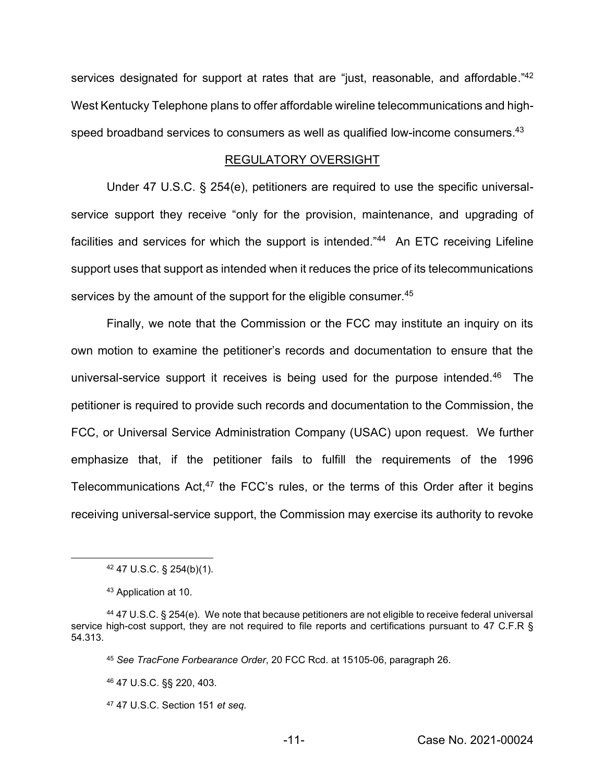services designated for support at rates that are "just, reasonable, and affordable."<sup>42</sup> West Kentucky Telephone plans to offer affordable wireline telecommunications and highspeed broadband services to consumers as well as qualified low-income consumers.<sup>43</sup>

#### REGULATORY OVERSIGHT

Under 47 U.S.C. § 254(e), petitioners are required to use the specific universalservice support they receive "only for the provision, maintenance, and upgrading of facilities and services for which the support is intended."44 An ETC receiving Lifeline support uses that support as intended when it reduces the price of its telecommunications services by the amount of the support for the eligible consumer.<sup>45</sup>

Finally, we note that the Commission or the FCC may institute an inquiry on its own motion to examine the petitioner's records and documentation to ensure that the universal-service support it receives is being used for the purpose intended.<sup>46</sup> The petitioner is required to provide such records and documentation to the Commission, the FCC, or Universal Service Administration Company (USAC) upon request. We further emphasize that, if the petitioner fails to fulfill the requirements of the 1996 Telecommunications Act, $47$  the FCC's rules, or the terms of this Order after it begins receiving universal-service support, the Commission may exercise its authority to revoke

<sup>46</sup> 47 U.S.C. §§ 220, 403.

<sup>47</sup> 47 U.S.C. Section 151 *et seq.*

<sup>42</sup> 47 U.S.C. § 254(b)(1).

<sup>43</sup> Application at 10.

<sup>44</sup> 47 U.S.C. § 254(e). We note that because petitioners are not eligible to receive federal universal service high-cost support, they are not required to file reports and certifications pursuant to 47 C.F.R § 54.313.

<sup>45</sup> *See TracFone Forbearance Order*, 20 FCC Rcd. at 15105-06, paragraph 26.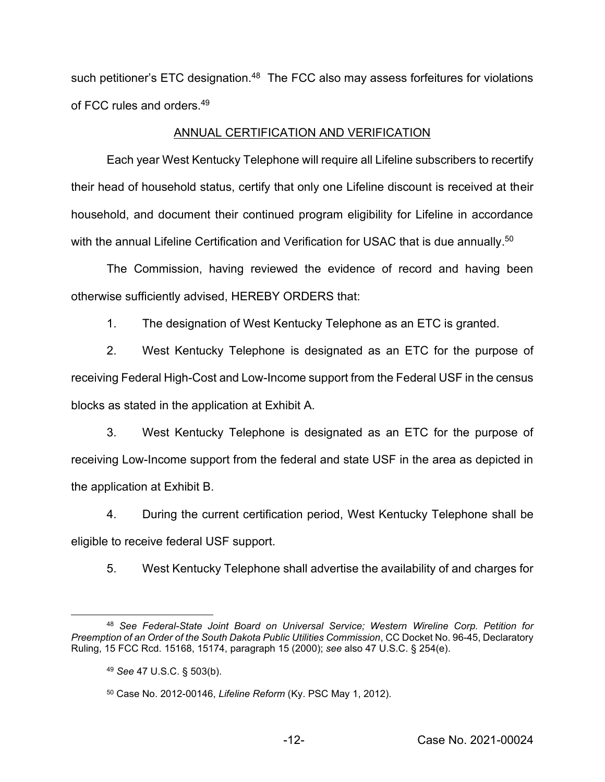such petitioner's ETC designation.<sup>48</sup> The FCC also may assess forfeitures for violations of FCC rules and orders.49

## ANNUAL CERTIFICATION AND VERIFICATION

Each year West Kentucky Telephone will require all Lifeline subscribers to recertify their head of household status, certify that only one Lifeline discount is received at their household, and document their continued program eligibility for Lifeline in accordance with the annual Lifeline Certification and Verification for USAC that is due annually.<sup>50</sup>

The Commission, having reviewed the evidence of record and having been otherwise sufficiently advised, HEREBY ORDERS that:

1. The designation of West Kentucky Telephone as an ETC is granted.

2. West Kentucky Telephone is designated as an ETC for the purpose of receiving Federal High-Cost and Low-Income support from the Federal USF in the census blocks as stated in the application at Exhibit A.

3. West Kentucky Telephone is designated as an ETC for the purpose of receiving Low-Income support from the federal and state USF in the area as depicted in the application at Exhibit B.

4. During the current certification period, West Kentucky Telephone shall be eligible to receive federal USF support.

5. West Kentucky Telephone shall advertise the availability of and charges for

<sup>48</sup> *See Federal-State Joint Board on Universal Service; Western Wireline Corp. Petition for Preemption of an Order of the South Dakota Public Utilities Commission*, CC Docket No. 96-45, Declaratory Ruling, 15 FCC Rcd. 15168, 15174, paragraph 15 (2000); *see* also 47 U.S.C. § 254(e).

<sup>49</sup> *See* 47 U.S.C. § 503(b).

<sup>50</sup> Case No. 2012-00146, *Lifeline Reform* (Ky. PSC May 1, 2012).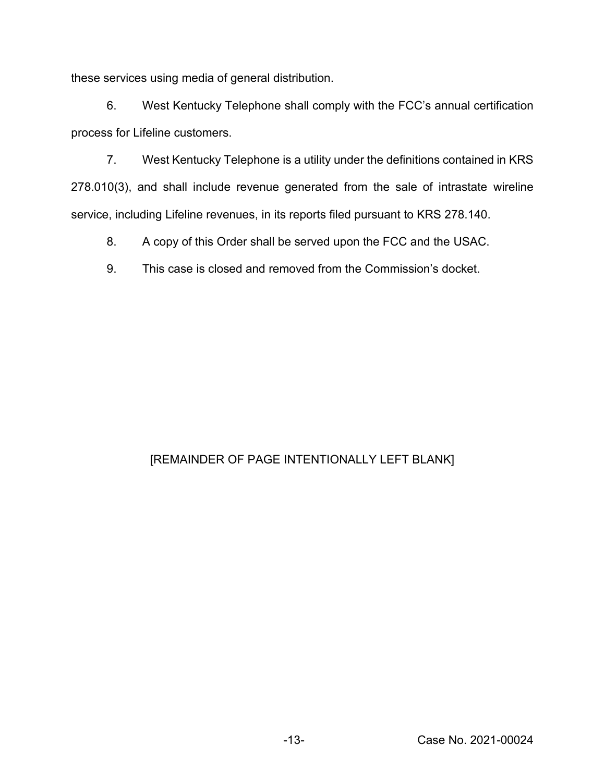these services using media of general distribution.

6. West Kentucky Telephone shall comply with the FCC's annual certification process for Lifeline customers.

7. West Kentucky Telephone is a utility under the definitions contained in KRS 278.010(3), and shall include revenue generated from the sale of intrastate wireline service, including Lifeline revenues, in its reports filed pursuant to KRS 278.140.

8. A copy of this Order shall be served upon the FCC and the USAC.

9. This case is closed and removed from the Commission's docket.

# [REMAINDER OF PAGE INTENTIONALLY LEFT BLANK]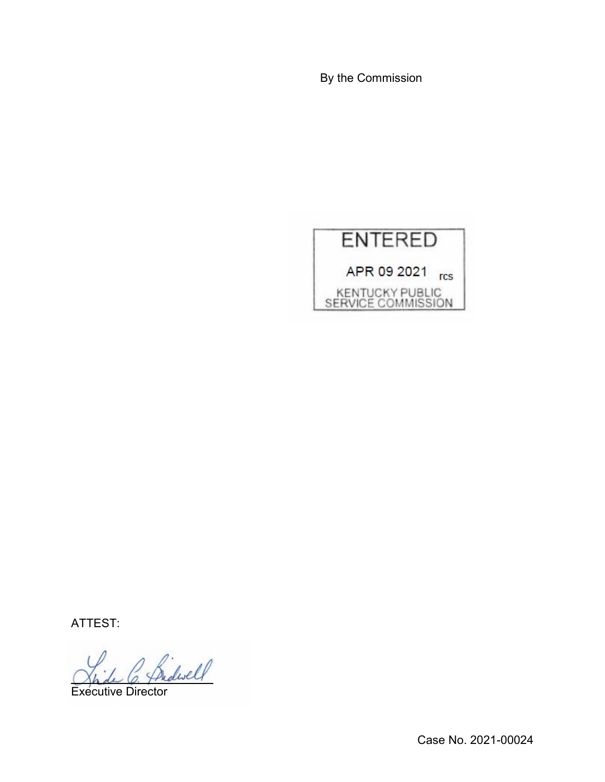By the Commission



ATTEST:

Shide C. Bridwell

Case No. 2021-00024